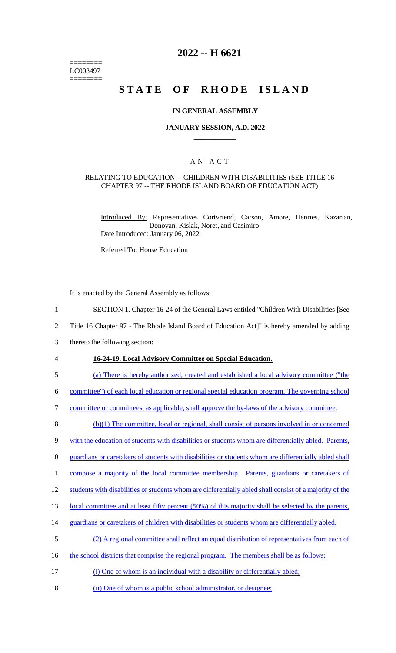======== LC003497 ========

# **2022 -- H 6621**

# **STATE OF RHODE ISLAND**

#### **IN GENERAL ASSEMBLY**

#### **JANUARY SESSION, A.D. 2022 \_\_\_\_\_\_\_\_\_\_\_\_**

### A N A C T

#### RELATING TO EDUCATION -- CHILDREN WITH DISABILITIES (SEE TITLE 16 CHAPTER 97 -- THE RHODE ISLAND BOARD OF EDUCATION ACT)

Introduced By: Representatives Cortvriend, Carson, Amore, Henries, Kazarian, Donovan, Kislak, Noret, and Casimiro Date Introduced: January 06, 2022

Referred To: House Education

It is enacted by the General Assembly as follows:

1 SECTION 1. Chapter 16-24 of the General Laws entitled "Children With Disabilities [See

2 Title 16 Chapter 97 - The Rhode Island Board of Education Act]" is hereby amended by adding

- 3 thereto the following section:
- 

#### 4 **16-24-19. Local Advisory Committee on Special Education.**

5 (a) There is hereby authorized, created and established a local advisory committee ("the

6 committee") of each local education or regional special education program. The governing school

7 committee or committees, as applicable, shall approve the by-laws of the advisory committee.

8 (b)(1) The committee, local or regional, shall consist of persons involved in or concerned

9 with the education of students with disabilities or students whom are differentially abled. Parents,

10 guardians or caretakers of students with disabilities or students whom are differentially abled shall

11 compose a majority of the local committee membership. Parents, guardians or caretakers of

12 students with disabilities or students whom are differentially abled shall consist of a majority of the

13 local committee and at least fifty percent (50%) of this majority shall be selected by the parents,

- 14 guardians or caretakers of children with disabilities or students whom are differentially abled.
- 15 (2) A regional committee shall reflect an equal distribution of representatives from each of
- 16 the school districts that comprise the regional program. The members shall be as follows:
- 17 (i) One of whom is an individual with a disability or differentially abled;
- 18 (ii) One of whom is a public school administrator, or designee;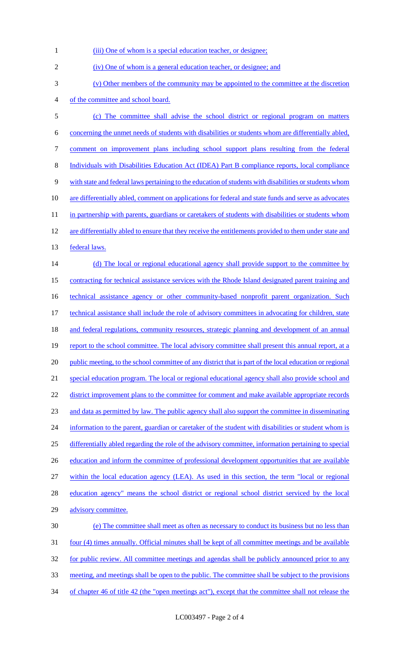| $\mathbf{1}$     | (iii) One of whom is a special education teacher, or designee;                                            |
|------------------|-----------------------------------------------------------------------------------------------------------|
| $\sqrt{2}$       | (iv) One of whom is a general education teacher, or designee; and                                         |
| 3                | (v) Other members of the community may be appointed to the committee at the discretion                    |
| 4                | of the committee and school board.                                                                        |
| $\mathfrak s$    | (c) The committee shall advise the school district or regional program on matters                         |
| 6                | concerning the unmet needs of students with disabilities or students whom are differentially abled,       |
| $\boldsymbol{7}$ | comment on improvement plans including school support plans resulting from the federal                    |
| $\,8\,$          | Individuals with Disabilities Education Act (IDEA) Part B compliance reports, local compliance            |
| 9                | with state and federal laws pertaining to the education of students with disabilities or students whom    |
| 10               | are differentially abled, comment on applications for federal and state funds and serve as advocates      |
| 11               | in partnership with parents, guardians or caretakers of students with disabilities or students whom       |
| 12               | are differentially abled to ensure that they receive the entitlements provided to them under state and    |
| 13               | federal laws.                                                                                             |
| 14               | (d) The local or regional educational agency shall provide support to the committee by                    |
| 15               | contracting for technical assistance services with the Rhode Island designated parent training and        |
| 16               | technical assistance agency or other community-based nonprofit parent organization. Such                  |
| 17               | technical assistance shall include the role of advisory committees in advocating for children, state      |
| 18               | and federal regulations, community resources, strategic planning and development of an annual             |
| 19               | report to the school committee. The local advisory committee shall present this annual report, at a       |
| 20               | public meeting, to the school committee of any district that is part of the local education or regional   |
| 21               | special education program. The local or regional educational agency shall also provide school and         |
| 22               | district improvement plans to the committee for comment and make available appropriate records            |
| 23               | and data as permitted by law. The public agency shall also support the committee in disseminating         |
| 24               | information to the parent, guardian or caretaker of the student with disabilities or student whom is      |
| 25               | differentially abled regarding the role of the advisory committee, information pertaining to special      |
| 26               | education and inform the committee of professional development opportunities that are available           |
| 27               | within the local education agency (LEA). As used in this section, the term "local or regional             |
| 28               | education agency" means the school district or regional school district serviced by the local             |
| 29               | advisory committee.                                                                                       |
| 30               | (e) The committee shall meet as often as necessary to conduct its business but no less than               |
| 31               | <u>four (4) times annually. Official minutes shall be kept of all committee meetings and be available</u> |
| 32               | for public review. All committee meetings and agendas shall be publicly announced prior to any            |
| 33               | meeting, and meetings shall be open to the public. The committee shall be subject to the provisions       |
| 34               | of chapter 46 of title 42 (the "open meetings act"), except that the committee shall not release the      |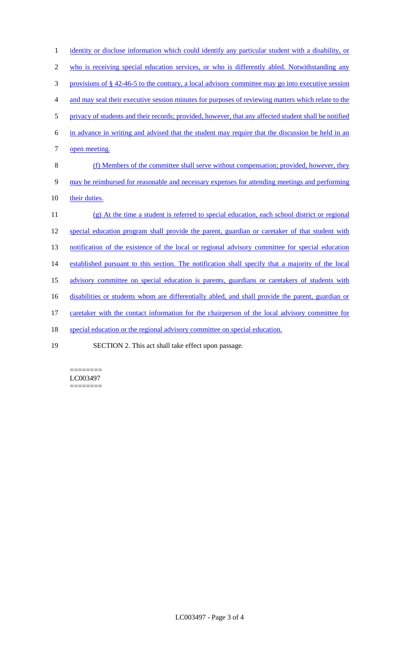| $\mathbf{1}$     | identity or disclose information which could identify any particular student with a disability, or    |
|------------------|-------------------------------------------------------------------------------------------------------|
| $\mathbf{2}$     | who is receiving special education services, or who is differently abled. Notwithstanding any         |
| 3                | provisions of § 42-46-5 to the contrary, a local advisory committee may go into executive session     |
| $\overline{4}$   | and may seal their executive session minutes for purposes of reviewing matters which relate to the    |
| $\mathfrak{S}$   | privacy of students and their records; provided, however, that any affected student shall be notified |
| 6                | in advance in writing and advised that the student may require that the discussion be held in an      |
| $\boldsymbol{7}$ | open meeting.                                                                                         |
| $\,$ 8 $\,$      | (f) Members of the committee shall serve without compensation; provided, however, they                |
| $\mathbf{9}$     | may be reimbursed for reasonable and necessary expenses for attending meetings and performing         |
| 10               | their duties.                                                                                         |
| 11               | (g) At the time a student is referred to special education, each school district or regional          |
| 12               | special education program shall provide the parent, guardian or caretaker of that student with        |
| 13               | notification of the existence of the local or regional advisory committee for special education       |
| 14               | established pursuant to this section. The notification shall specify that a majority of the local     |
| 15               | advisory committee on special education is parents, guardians or caretakers of students with          |
| 16               | disabilities or students whom are differentially abled, and shall provide the parent, guardian or     |
| 17               | caretaker with the contact information for the chairperson of the local advisory committee for        |
| 18               | special education or the regional advisory committee on special education.                            |
| 10               | $C_{\text{LCTION}} \cap$ This est shall take effect upon necessary                                    |

19 SECTION 2. This act shall take effect upon passage.

 $=$ LC003497 ========